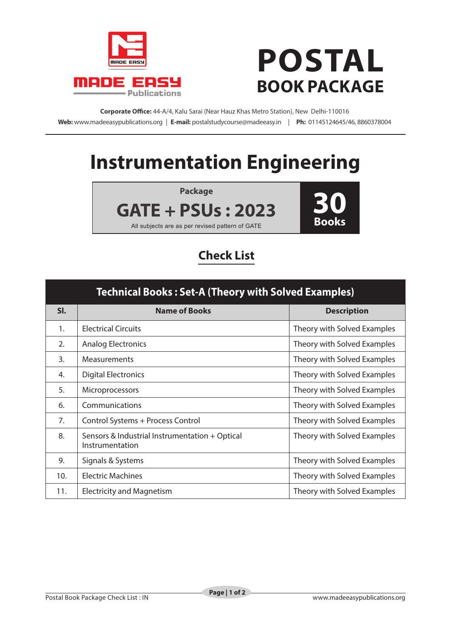

## **POSTAL BOOK PACKAGE**

**Corporate Office:** 44-A/4, Kalu Sarai (Near Hauz Khas Metro Station), New Delhi-110016 **Web:** www.madeeasypublications.org | **E-mail:** postalstudycourse@madeeasy.in | **Ph:** 01145124645/46, 8860378004

## **Instrumentation Engineering**

**Package**

**GATE + PSUs : 2023**

All subjects are as per revised pattern of GATE

**30 Books**

## **Check List**

| <b>Technical Books: Set-A (Theory with Solved Examples)</b> |                                                                   |                             |  |  |
|-------------------------------------------------------------|-------------------------------------------------------------------|-----------------------------|--|--|
| SI.                                                         | <b>Name of Books</b>                                              | <b>Description</b>          |  |  |
| 1.                                                          | <b>Electrical Circuits</b>                                        | Theory with Solved Examples |  |  |
| 2.                                                          | <b>Analog Electronics</b>                                         | Theory with Solved Examples |  |  |
| $\overline{3}$ .                                            | <b>Measurements</b>                                               | Theory with Solved Examples |  |  |
| 4.                                                          | <b>Digital Electronics</b>                                        | Theory with Solved Examples |  |  |
| 5.                                                          | <b>Microprocessors</b>                                            | Theory with Solved Examples |  |  |
| 6.                                                          | Communications                                                    | Theory with Solved Examples |  |  |
| 7.                                                          | Control Systems + Process Control                                 | Theory with Solved Examples |  |  |
| 8.                                                          | Sensors & Industrial Instrumentation + Optical<br>Instrumentation | Theory with Solved Examples |  |  |
| 9.                                                          | Signals & Systems                                                 | Theory with Solved Examples |  |  |
| 10.                                                         | <b>Electric Machines</b>                                          | Theory with Solved Examples |  |  |
| 11.                                                         | <b>Electricity and Magnetism</b>                                  | Theory with Solved Examples |  |  |